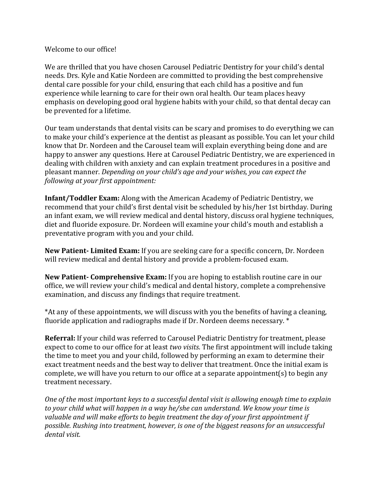## Welcome to our office!

We are thrilled that you have chosen Carousel Pediatric Dentistry for your child's dental needs. Drs. Kyle and Katie Nordeen are committed to providing the best comprehensive dental care possible for your child, ensuring that each child has a positive and fun experience while learning to care for their own oral health. Our team places heavy emphasis on developing good oral hygiene habits with your child, so that dental decay can be prevented for a lifetime.

Our team understands that dental visits can be scary and promises to do everything we can to make your child's experience at the dentist as pleasant as possible. You can let your child know that Dr. Nordeen and the Carousel team will explain everything being done and are happy to answer any questions. Here at Carousel Pediatric Dentistry, we are experienced in dealing with children with anxiety and can explain treatment procedures in a positive and pleasant manner. *Depending on your child's age and your wishes, you can expect the following at your first appointment:* 

**Infant/Toddler Exam:** Along with the American Academy of Pediatric Dentistry, we recommend that your child's first dental visit be scheduled by his/her 1st birthday. During an infant exam, we will review medical and dental history, discuss oral hygiene techniques, diet and fluoride exposure. Dr. Nordeen will examine your child's mouth and establish a preventative program with you and your child.

**New Patient- Limited Exam:** If you are seeking care for a specific concern, Dr. Nordeen will review medical and dental history and provide a problem-focused exam.

**New Patient- Comprehensive Exam:** If you are hoping to establish routine care in our office, we will review your child's medical and dental history, complete a comprehensive examination, and discuss any findings that require treatment.

\*At any of these appointments, we will discuss with you the benefits of having a cleaning, fluoride application and radiographs made if Dr. Nordeen deems necessary. \*

**Referral:** If your child was referred to Carousel Pediatric Dentistry for treatment, please expect to come to our office for at least *two visits*. The first appointment will include taking the time to meet you and your child, followed by performing an exam to determine their exact treatment needs and the best way to deliver that treatment. Once the initial exam is complete, we will have you return to our office at a separate appointment(s) to begin any treatment necessary.

*One of the most important keys to a successful dental visit is allowing enough time to explain to your child what will happen in a way he/she can understand. We know your time is valuable and will make efforts to begin treatment the day of your first appointment if possible. Rushing into treatment, however, is one of the biggest reasons for an unsuccessful dental visit.*